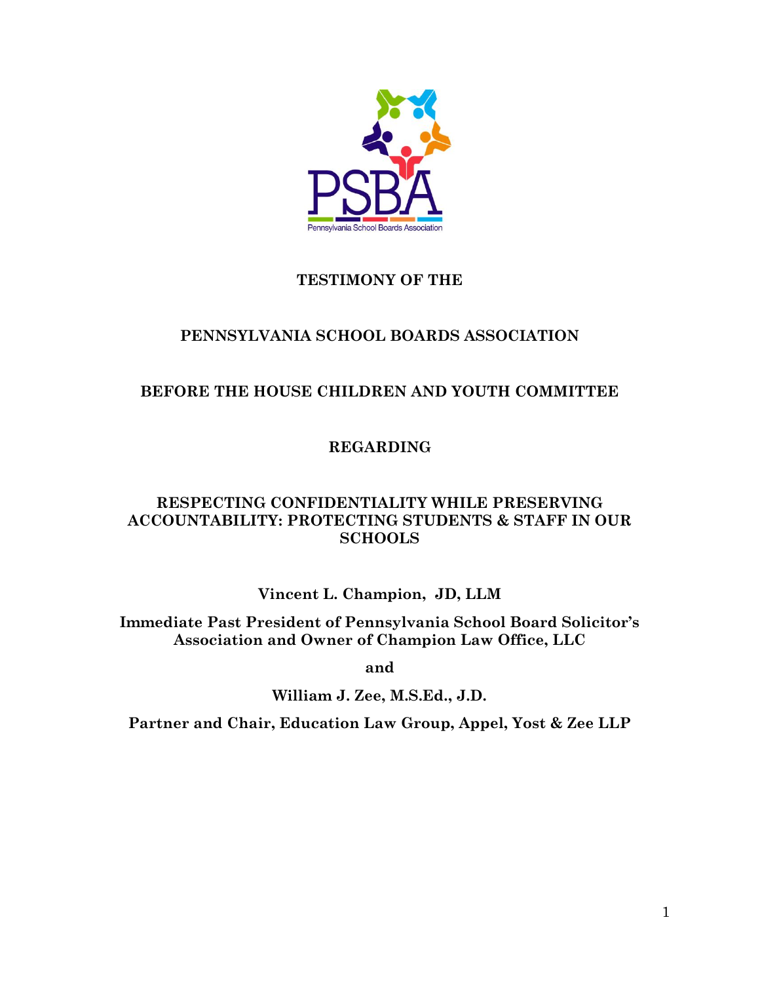

# **TESTIMONY OF THE**

## **PENNSYLVANIA SCHOOL BOARDS ASSOCIATION**

# **BEFORE THE HOUSE CHILDREN AND YOUTH COMMITTEE**

**REGARDING** 

## **RESPECTING CONFIDENTIALITY WHILE PRESERVING ACCOUNTABILITY: PROTECTING STUDENTS & STAFF IN OUR SCHOOLS**

**Vincent L. Champion, JD, LLM**

**Immediate Past President of Pennsylvania School Board Solicitor's Association and Owner of Champion Law Office, LLC**

**and**

**William J. Zee, M.S.Ed., J.D.** 

**Partner and Chair, Education Law Group, Appel, Yost & Zee LLP**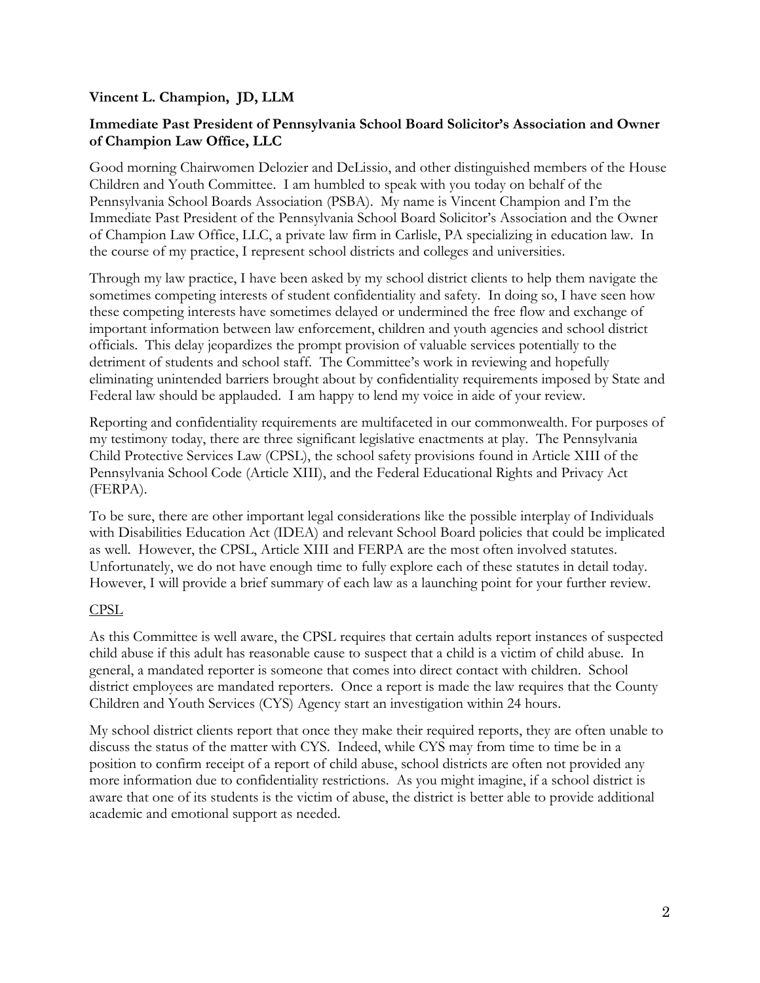### **Vincent L. Champion, JD, LLM**

### **Immediate Past President of Pennsylvania School Board Solicitor's Association and Owner of Champion Law Office, LLC**

Good morning Chairwomen Delozier and DeLissio, and other distinguished members of the House Children and Youth Committee. I am humbled to speak with you today on behalf of the Pennsylvania School Boards Association (PSBA). My name is Vincent Champion and I'm the Immediate Past President of the Pennsylvania School Board Solicitor's Association and the Owner of Champion Law Office, LLC, a private law firm in Carlisle, PA specializing in education law. In the course of my practice, I represent school districts and colleges and universities.

Through my law practice, I have been asked by my school district clients to help them navigate the sometimes competing interests of student confidentiality and safety. In doing so, I have seen how these competing interests have sometimes delayed or undermined the free flow and exchange of important information between law enforcement, children and youth agencies and school district officials. This delay jeopardizes the prompt provision of valuable services potentially to the detriment of students and school staff. The Committee's work in reviewing and hopefully eliminating unintended barriers brought about by confidentiality requirements imposed by State and Federal law should be applauded. I am happy to lend my voice in aide of your review.

Reporting and confidentiality requirements are multifaceted in our commonwealth. For purposes of my testimony today, there are three significant legislative enactments at play. The Pennsylvania Child Protective Services Law (CPSL), the school safety provisions found in Article XIII of the Pennsylvania School Code (Article XIII), and the Federal Educational Rights and Privacy Act (FERPA).

To be sure, there are other important legal considerations like the possible interplay of Individuals with Disabilities Education Act (IDEA) and relevant School Board policies that could be implicated as well. However, the CPSL, Article XIII and FERPA are the most often involved statutes. Unfortunately, we do not have enough time to fully explore each of these statutes in detail today. However, I will provide a brief summary of each law as a launching point for your further review.

### CPSL

As this Committee is well aware, the CPSL requires that certain adults report instances of suspected child abuse if this adult has reasonable cause to suspect that a child is a victim of child abuse. In general, a mandated reporter is someone that comes into direct contact with children. School district employees are mandated reporters. Once a report is made the law requires that the County Children and Youth Services (CYS) Agency start an investigation within 24 hours.

My school district clients report that once they make their required reports, they are often unable to discuss the status of the matter with CYS. Indeed, while CYS may from time to time be in a position to confirm receipt of a report of child abuse, school districts are often not provided any more information due to confidentiality restrictions. As you might imagine, if a school district is aware that one of its students is the victim of abuse, the district is better able to provide additional academic and emotional support as needed.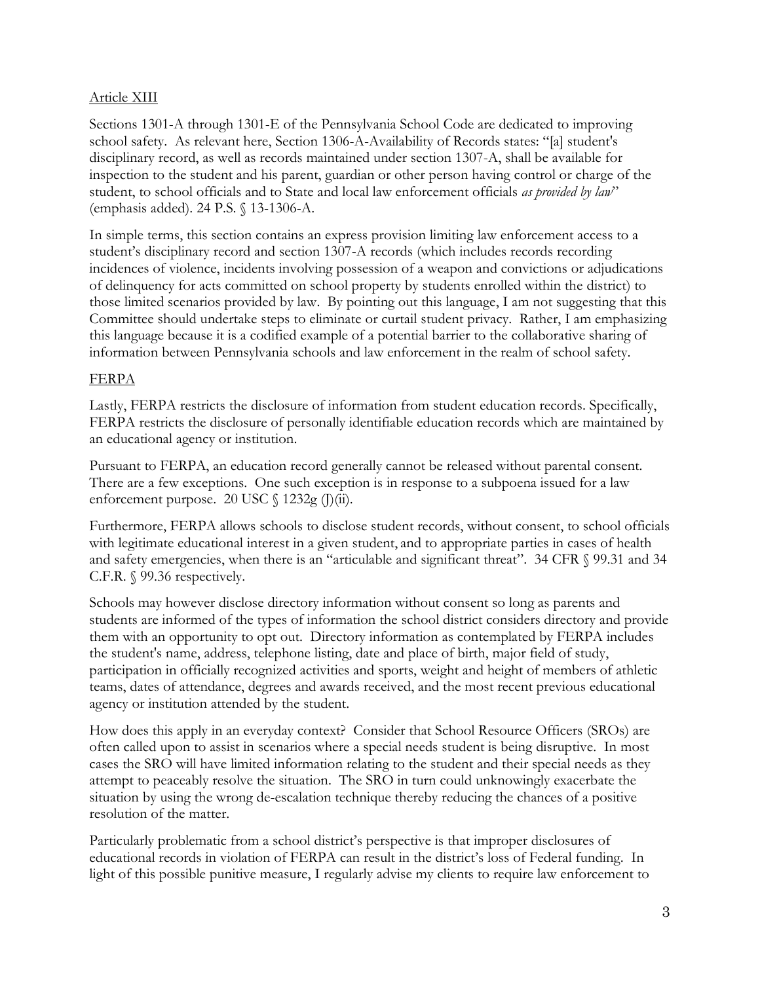### Article XIII

Sections 1301-A through 1301-E of the Pennsylvania School Code are dedicated to improving school safety. As relevant here, Section 1306-A-Availability of Records states: "[a] student's disciplinary record, as well as records maintained under section 1307-A, shall be available for inspection to the student and his parent, guardian or other person having control or charge of the student, to school officials and to State and local law enforcement officials *as provided by law*" (emphasis added). 24 P.S. § 13-1306-A.

In simple terms, this section contains an express provision limiting law enforcement access to a student's disciplinary record and section 1307-A records (which includes records recording incidences of violence, incidents involving possession of a weapon and convictions or adjudications of delinquency for acts committed on school property by students enrolled within the district) to those limited scenarios provided by law. By pointing out this language, I am not suggesting that this Committee should undertake steps to eliminate or curtail student privacy. Rather, I am emphasizing this language because it is a codified example of a potential barrier to the collaborative sharing of information between Pennsylvania schools and law enforcement in the realm of school safety.

## FERPA

Lastly, FERPA restricts the disclosure of information from student education records. Specifically, FERPA restricts the disclosure of personally identifiable education records which are maintained by an educational agency or institution.

Pursuant to FERPA, an education record generally cannot be released without parental consent. There are a few exceptions. One such exception is in response to a subpoena issued for a law enforcement purpose. 20 USC § 1232g (J)(ii).

Furthermore, FERPA allows schools to disclose student records, without consent, to school officials with legitimate educational interest in a given student, and to appropriate parties in cases of health and safety emergencies, when there is an "articulable and significant threat". 34 CFR § 99.31 and 34 C.F.R. § 99.36 respectively.

Schools may however disclose directory information without consent so long as parents and students are informed of the types of information the school district considers directory and provide them with an opportunity to opt out. Directory information as contemplated by FERPA includes the student's name, address, telephone listing, date and place of birth, major field of study, participation in officially recognized activities and sports, weight and height of members of athletic teams, dates of attendance, degrees and awards received, and the most recent previous educational agency or institution attended by the student.

How does this apply in an everyday context? Consider that School Resource Officers (SROs) are often called upon to assist in scenarios where a special needs student is being disruptive. In most cases the SRO will have limited information relating to the student and their special needs as they attempt to peaceably resolve the situation. The SRO in turn could unknowingly exacerbate the situation by using the wrong de-escalation technique thereby reducing the chances of a positive resolution of the matter.

Particularly problematic from a school district's perspective is that improper disclosures of educational records in violation of FERPA can result in the district's loss of Federal funding. In light of this possible punitive measure, I regularly advise my clients to require law enforcement to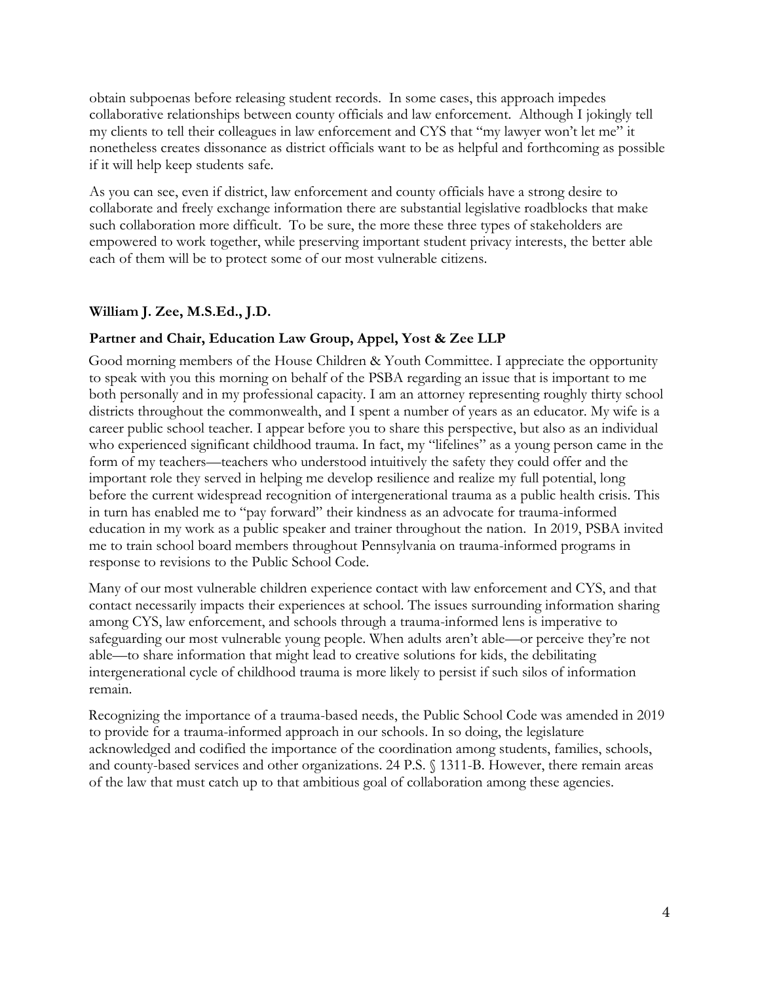obtain subpoenas before releasing student records. In some cases, this approach impedes collaborative relationships between county officials and law enforcement. Although I jokingly tell my clients to tell their colleagues in law enforcement and CYS that "my lawyer won't let me" it nonetheless creates dissonance as district officials want to be as helpful and forthcoming as possible if it will help keep students safe.

As you can see, even if district, law enforcement and county officials have a strong desire to collaborate and freely exchange information there are substantial legislative roadblocks that make such collaboration more difficult. To be sure, the more these three types of stakeholders are empowered to work together, while preserving important student privacy interests, the better able each of them will be to protect some of our most vulnerable citizens.

## **William J. Zee, M.S.Ed., J.D.**

### **Partner and Chair, Education Law Group, Appel, Yost & Zee LLP**

Good morning members of the House Children & Youth Committee. I appreciate the opportunity to speak with you this morning on behalf of the PSBA regarding an issue that is important to me both personally and in my professional capacity. I am an attorney representing roughly thirty school districts throughout the commonwealth, and I spent a number of years as an educator. My wife is a career public school teacher. I appear before you to share this perspective, but also as an individual who experienced significant childhood trauma. In fact, my "lifelines" as a young person came in the form of my teachers—teachers who understood intuitively the safety they could offer and the important role they served in helping me develop resilience and realize my full potential, long before the current widespread recognition of intergenerational trauma as a public health crisis. This in turn has enabled me to "pay forward" their kindness as an advocate for trauma-informed education in my work as a public speaker and trainer throughout the nation. In 2019, PSBA invited me to train school board members throughout Pennsylvania on trauma-informed programs in response to revisions to the Public School Code.

Many of our most vulnerable children experience contact with law enforcement and CYS, and that contact necessarily impacts their experiences at school. The issues surrounding information sharing among CYS, law enforcement, and schools through a trauma-informed lens is imperative to safeguarding our most vulnerable young people. When adults aren't able—or perceive they're not able—to share information that might lead to creative solutions for kids, the debilitating intergenerational cycle of childhood trauma is more likely to persist if such silos of information remain.

Recognizing the importance of a trauma-based needs, the Public School Code was amended in 2019 to provide for a trauma-informed approach in our schools. In so doing, the legislature acknowledged and codified the importance of the coordination among students, families, schools, and county-based services and other organizations. 24 P.S. § 1311-B. However, there remain areas of the law that must catch up to that ambitious goal of collaboration among these agencies.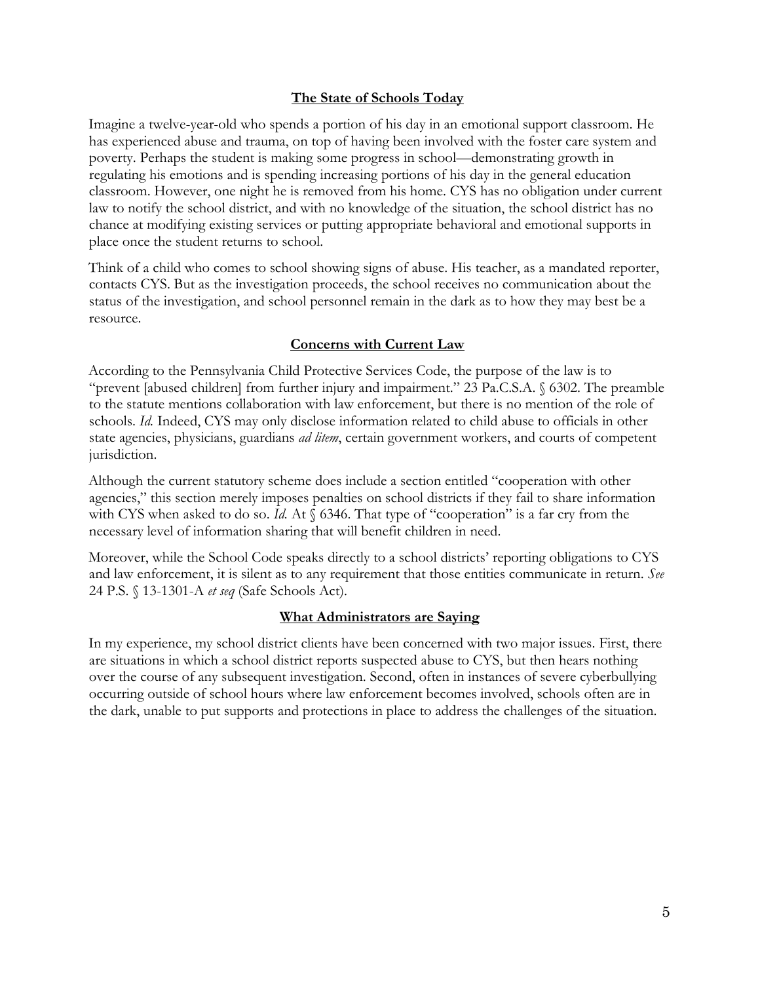### **The State of Schools Today**

Imagine a twelve-year-old who spends a portion of his day in an emotional support classroom. He has experienced abuse and trauma, on top of having been involved with the foster care system and poverty. Perhaps the student is making some progress in school—demonstrating growth in regulating his emotions and is spending increasing portions of his day in the general education classroom. However, one night he is removed from his home. CYS has no obligation under current law to notify the school district, and with no knowledge of the situation, the school district has no chance at modifying existing services or putting appropriate behavioral and emotional supports in place once the student returns to school.

Think of a child who comes to school showing signs of abuse. His teacher, as a mandated reporter, contacts CYS. But as the investigation proceeds, the school receives no communication about the status of the investigation, and school personnel remain in the dark as to how they may best be a resource.

### **Concerns with Current Law**

According to the Pennsylvania Child Protective Services Code, the purpose of the law is to "prevent [abused children] from further injury and impairment." 23 Pa.C.S.A. § 6302. The preamble to the statute mentions collaboration with law enforcement, but there is no mention of the role of schools. *Id.* Indeed, CYS may only disclose information related to child abuse to officials in other state agencies, physicians, guardians *ad litem*, certain government workers, and courts of competent jurisdiction.

Although the current statutory scheme does include a section entitled "cooperation with other agencies," this section merely imposes penalties on school districts if they fail to share information with CYS when asked to do so. *Id.* At § 6346. That type of "cooperation" is a far cry from the necessary level of information sharing that will benefit children in need.

Moreover, while the School Code speaks directly to a school districts' reporting obligations to CYS and law enforcement, it is silent as to any requirement that those entities communicate in return. *See*  24 P.S. § 13-1301-A *et seq* (Safe Schools Act).

#### **What Administrators are Saying**

In my experience, my school district clients have been concerned with two major issues. First, there are situations in which a school district reports suspected abuse to CYS, but then hears nothing over the course of any subsequent investigation. Second, often in instances of severe cyberbullying occurring outside of school hours where law enforcement becomes involved, schools often are in the dark, unable to put supports and protections in place to address the challenges of the situation.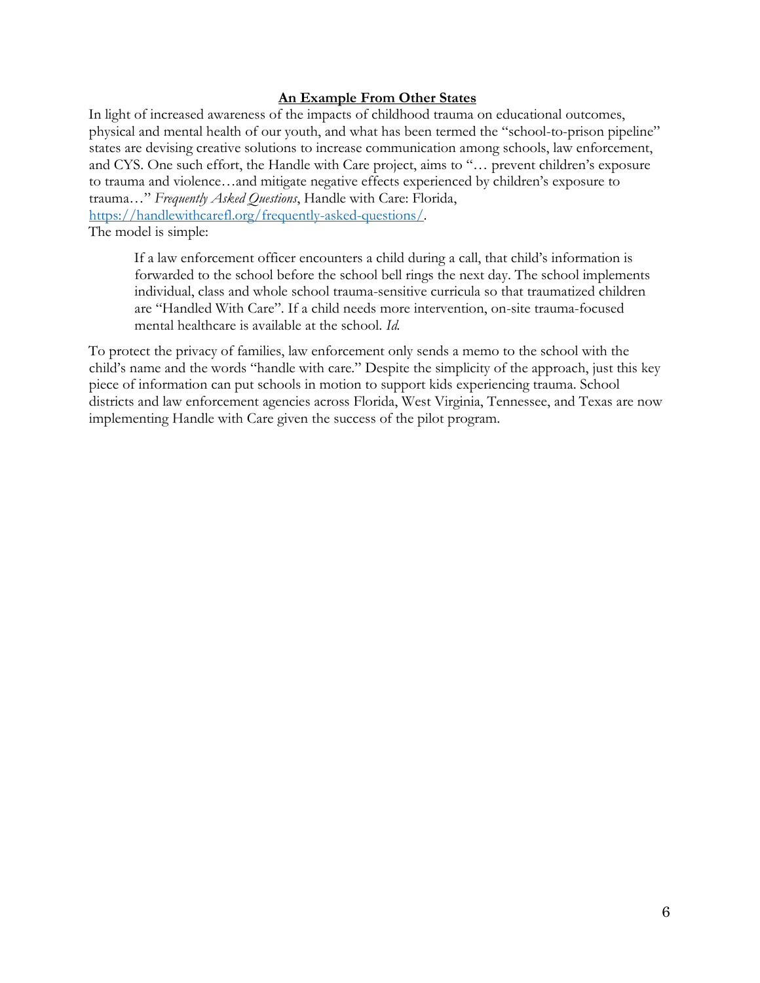### **An Example From Other States**

In light of increased awareness of the impacts of childhood trauma on educational outcomes, physical and mental health of our youth, and what has been termed the "school-to-prison pipeline" states are devising creative solutions to increase communication among schools, law enforcement, and CYS. One such effort, the Handle with Care project, aims to "… prevent children's exposure to trauma and violence…and mitigate negative effects experienced by children's exposure to trauma…" *Frequently Asked Questions*, Handle with Care: Florida, [https://handlewithcarefl.org/frequently-asked-questions/.](https://handlewithcarefl.org/frequently-asked-questions/) 

The model is simple:

If a law enforcement officer encounters a child during a call, that child's information is forwarded to the school before the school bell rings the next day. The school implements individual, class and whole school trauma-sensitive curricula so that traumatized children are "Handled With Care". If a child needs more intervention, on-site trauma-focused mental healthcare is available at the school. *Id.* 

To protect the privacy of families, law enforcement only sends a memo to the school with the child's name and the words "handle with care." Despite the simplicity of the approach, just this key piece of information can put schools in motion to support kids experiencing trauma. School districts and law enforcement agencies across Florida, West Virginia, Tennessee, and Texas are now implementing Handle with Care given the success of the pilot program.